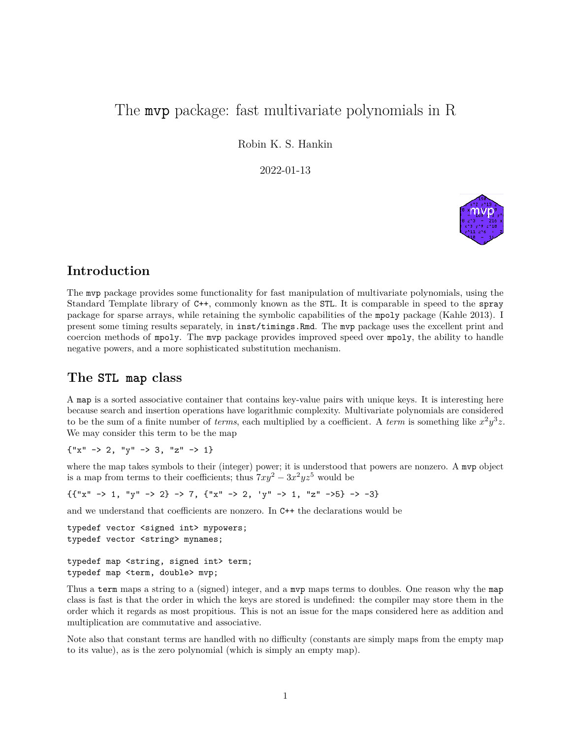# The mvp package: fast multivariate polynomials in R

Robin K. S. Hankin

2022-01-13



# **Introduction**

The mvp package provides some functionality for fast manipulation of multivariate polynomials, using the Standard Template library of C++, commonly known as the STL. It is comparable in speed to the spray package for sparse arrays, while retaining the symbolic capabilities of the mpoly package (Kahle 2013). I present some timing results separately, in inst/timings.Rmd. The mvp package uses the excellent print and coercion methods of mpoly. The mvp package provides improved speed over mpoly, the ability to handle negative powers, and a more sophisticated substitution mechanism.

# **The STL map class**

A map is a sorted associative container that contains key-value pairs with unique keys. It is interesting here because search and insertion operations have logarithmic complexity. Multivariate polynomials are considered to be the sum of a finite number of *terms*, each multiplied by a coefficient. A *term* is something like  $x^2y^3z$ . We may consider this term to be the map

 ${\{''x'' \to 2, "y'' \to 3, "z'' \to 1\}}$ 

where the map takes symbols to their (integer) power; it is understood that powers are nonzero. A mvp object is a map from terms to their coefficients; thus  $7xy^2 - 3x^2yz^5$  would be

 ${{'x'' \to 1, "y'' \to 2} \to 7, {''x'' \to 2, 'y'' \to 1, "z'' \to 5} \to -3}$ 

and we understand that coefficients are nonzero. In C++ the declarations would be

```
typedef vector <signed int> mypowers;
typedef vector <string> mynames;
```
typedef map <string, signed int> term; typedef map <term, double> mvp;

Thus a term maps a string to a (signed) integer, and a mvp maps terms to doubles. One reason why the map class is fast is that the order in which the keys are stored is undefined: the compiler may store them in the order which it regards as most propitious. This is not an issue for the maps considered here as addition and multiplication are commutative and associative.

Note also that constant terms are handled with no difficulty (constants are simply maps from the empty map to its value), as is the zero polynomial (which is simply an empty map).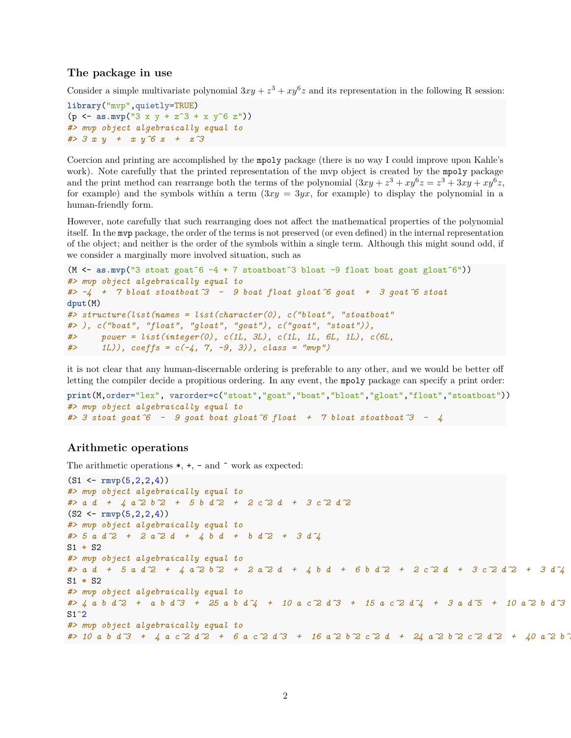#### **The package in use**

Consider a simple multivariate polynomial  $3xy + z^3 + xy^6z$  and its representation in the following R session:

```
library("mvp",quietly=TRUE)
(p <- as.mvp("3 x y + z^3 + x y^6 z"))
#> mvp object algebraically equal to
#> 3 x y + x y^6 z + z^3
```
Coercion and printing are accomplished by the mpoly package (there is no way I could improve upon Kahle's work). Note carefully that the printed representation of the mvp object is created by the mpoly package and the print method can rearrange both the terms of the polynomial  $(3xy + z^3 + xy^6z = z^3 + 3xy + xy^6z$ , for example) and the symbols within a term  $(3xy = 3yx)$ , for example) to display the polynomial in a human-friendly form.

However, note carefully that such rearranging does not affect the mathematical properties of the polynomial itself. In the mvp package, the order of the terms is not preserved (or even defined) in the internal representation of the object; and neither is the order of the symbols within a single term. Although this might sound odd, if we consider a marginally more involved situation, such as

```
(M <- as.mvp("3 stoat goat<sup>\epsilon</sup> -4 + 7 stoatboat<sup>\epsilon</sup>3 bloat -9 float boat goat gloat\epsilon"))
#> mvp object algebraically equal to
#> -4 + 7 bloat stoatboat^3 - 9 boat float gloat^6 goat + 3 goat^6 stoat
dput(M)
#> structure(list(names = list(character(0), c("bloat", "stoatboat"
#> ), c("boat", "float", "gloat", "goat"), c("goat", "stoat")),
#> power = list(integer(0), c(1L, 3L), c(1L, 1L, 6L, 1L), c(6L,
#> 1L)), coeffs = c(-4, 7, -9, 3)), class = "mvp")
```
it is not clear that any human-discernable ordering is preferable to any other, and we would be better off letting the compiler decide a propitious ordering. In any event, the mpoly package can specify a print order:

```
print(M,order="lex", varorder=c("stoat","goat","boat","bloat","gloat","float","stoatboat"))
#> mvp object algebraically equal to
#> 3 stoat goat^6 - 9 goat boat gloat^6 float + 7 bloat stoatboat^3 - 4
```
### **Arithmetic operations**

The arithmetic operations  $*, +$ ,  $-$  and  $\hat{ }$  work as expected:

```
(S1 <- rmvp(5,2,2,4))
#> mvp object algebraically equal to
#> a d + 4 a^2 b^2 + 5 b d^2 + 2 c^2 d + 3 c^2 d^2
(S2 <- rmvp(5,2,2,4))
#> mvp object algebraically equal to
#> 5 a d^2 + 2 a^2 d + 4 b d + b d^2 + 3 d^4
S1 + S2
#> mvp object algebraically equal to
#> a d + 5 a d^2 + 4 a^2 b^2 + 2 a^2 d + 4 b d + 6 b d^2 + 2 c^2 d + 3 c^2 d^2 + 3 d^4
S1 * S2
#> mvp object algebraically equal to
#> 4 a b d^2 + a b d^3 + 25 a b d^4 + 10 a c^2 d^3 + 15 a c^2 d^4 + 3 a d^5 + 10 a^2 b d^3 +
S1^2
#> mvp object algebraically equal to
#> 10 a b d^3 + 4 a c^2 d^2 + 6 a c^2 d^3 + 16 a^2 b^2 c^2 d + 24 a^2 b^2 c^2 d^2 + 40 a^2 b^3
```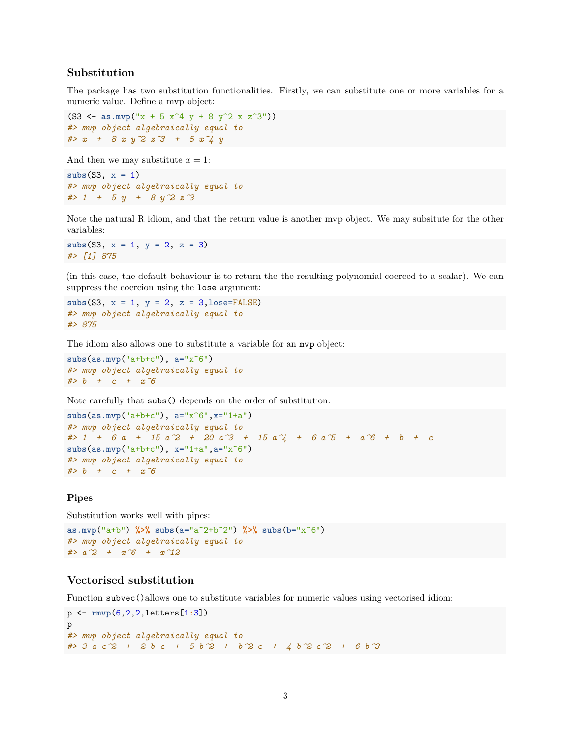## **Substitution**

The package has two substitution functionalities. Firstly, we can substitute one or more variables for a numeric value. Define a mvp object:

(S3 <-  $\text{as.mvp}("x + 5 x^4 y + 8 y^2 x z^3")$ ) *#> mvp object algebraically equal to #> x + 8 x y^2 z^3 + 5 x^4 y*

And then we may substitute  $x = 1$ :

```
subs(S3, x = 1)
#> mvp object algebraically equal to
#> 1 + 5 y + 8 y^2 z^3
```
Note the natural R idiom, and that the return value is another mvp object. We may subsitute for the other variables:

**subs**(S3, x = 1, y = 2, z = 3) *#> [1] 875*

(in this case, the default behaviour is to return the the resulting polynomial coerced to a scalar). We can suppress the coercion using the lose argument:

**subs**(S3, x = 1, y = 2, z = 3,lose=FALSE) *#> mvp object algebraically equal to #> 875*

The idiom also allows one to substitute a variable for an mvp object:

**subs**(**as.mvp**("a+b+c"), a="x^6") *#> mvp object algebraically equal to #> b + c + x^6*

Note carefully that subs() depends on the order of substitution:

```
subs(as.mvp("a+b+c"), a="x^6",x="1+a")
#> mvp object algebraically equal to
#> 1 + 6 a + 15 a^2 + 20 a^3 + 15 a^4 + 6 a^5 + a^6 + b + c
subs(as.mvp("a+b+c"), x="1+a",a="x^6")
#> mvp object algebraically equal to
#> b + c + x^6
```
#### **Pipes**

Substitution works well with pipes:

```
as.mvp("a+b") %>% subs(a="a^2+b^2") %>% subs(b="x^6")
#> mvp object algebraically equal to
#> a^2 + x^6 + x^12
```
#### **Vectorised substitution**

Function subvec()allows one to substitute variables for numeric values using vectorised idiom:

```
p <- rmvp(6,2,2,letters[1:3])
p
#> mvp object algebraically equal to
#> 3 a c^2 + 2 b c + 5 b^2 + b^2 c + 4 b^2 c^2 + 6 b^3
```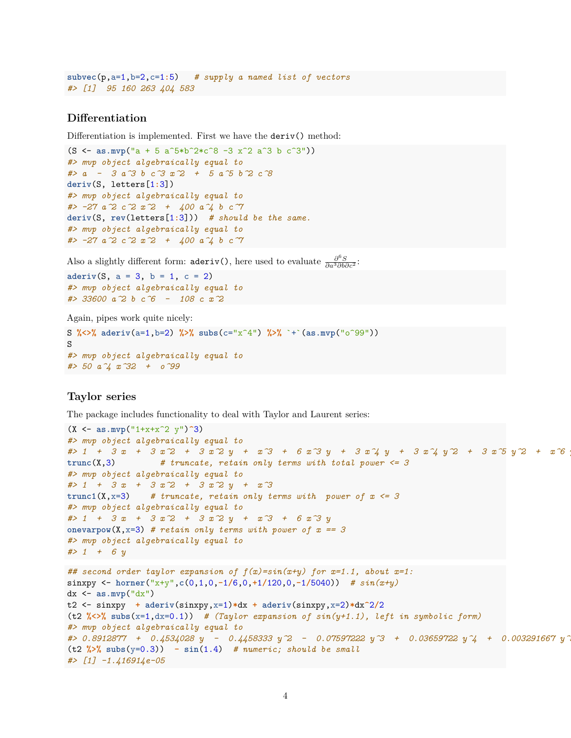```
subvec(p,a=1,b=2,c=1:5) # supply a named list of vectors
#> [1] 95 160 263 404 583
```
## **Differentiation**

Differentiation is implemented. First we have the deriv() method:

```
(S <- as.mvp("a + 5 a^5*b^2*c^8 -3 x^2 a^3 b c^3"))
#> mvp object algebraically equal to
#> a - 3 a^3 b c^3 x^2 + 5 a^5 b^2 c^8
deriv(S, letters[1:3])
#> mvp object algebraically equal to
#> -27 a^2 c^2 x^2 + 400 a^4 b c^7
deriv(S, rev(letters[1:3])) # should be the same.
#> mvp object algebraically equal to
#> -27 a^2 c^2 x^2 + 400 a^4 b c^7
```
Also a slightly different form: **aderiv()**, here used to evaluate  $\frac{\partial^6 S}{\partial a^3 \partial b \partial c^2}$ :

 $aderiv(S, a = 3, b = 1, c = 2)$ *#> mvp object algebraically equal to #> 33600 a^2 b c^6 - 108 c x^2*

Again, pipes work quite nicely:

```
S %<>% aderiv(a=1,b=2) %>% subs(c="x^4") %>% `+`(as.mvp("o^99"))
S
#> mvp object algebraically equal to
#> 50 a^4 x^32 + o^99
```
## **Taylor series**

The package includes functionality to deal with Taylor and Laurent series:

```
(X <- as.mvp("1+x+x^2 y")^3)
#> mvp object algebraically equal to
#> 1 + 3 x + 3 x^2 + 3 x^2 y + x^3 + 6 x^3 y + 3 x^4 y + 3 x^4 y^2 + 3 x^5 y^2 + x^6 y^3
trunc(X,3) # truncate, retain only terms with total power <= 3
#> mvp object algebraically equal to
#> 1 + 3 x + 3 x^2 + 3 x^2 y + x^3
trunc1(X, x=3) # truncate, retain only terms with power of x \le 3#> mvp object algebraically equal to
#> 1 + 3 x + 3 x^2 + 3 x^2 y + x^3 + 6 x^3 y
onevarpow(X, x=3) # retain only terms with power of x == 3#> mvp object algebraically equal to
#> 1 + 6 y
## second order taylor expansion of f(x)=sin(x+y) for x=1.1, about x=1:
sinxpy <- horner("x+y",c(0,1,0,-1/6,0,+1/120,0,-1/5040)) # sin(x+y)
dx <- as.mvp("dx")
t2 <- sinxpy + aderiv(sinxpy,x=1)*dx + aderiv(sinxpy,x=2)*dx^2/2
(t2 %<>% subs(x=1,dx=0.1)) # (Taylor expansion of sin(y+1.1), left in symbolic form)
#> mvp object algebraically equal to
#> 0.8912877 + 0.4534028 y - 0.4458333 y^2 - 0.07597222 y^3 + 0.03659722 y^4 + 0.003291667 y^5
(t2 %>% subs(y=0.3)) - sin(1.4) # numeric; should be small
#> [1] -1.416914e-05
```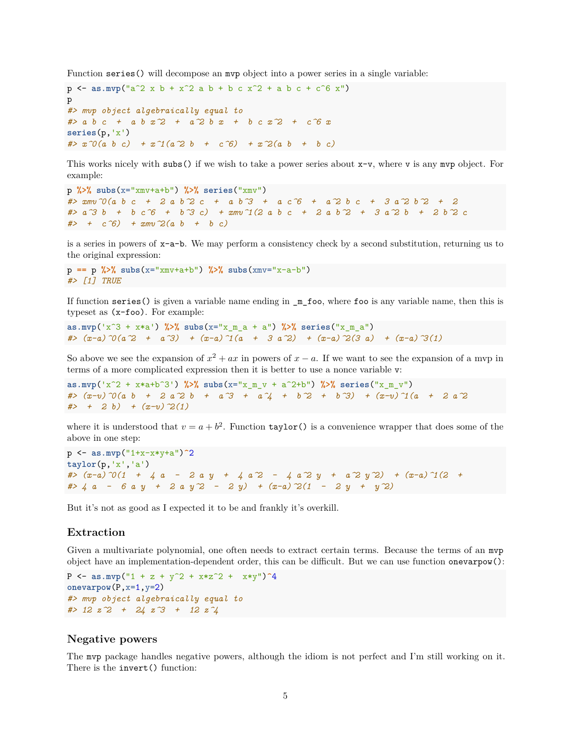Function series() will decompose an mvp object into a power series in a single variable:

```
p <- as.mvp("a<sup>2</sup> x b + x<sup>2</sup> a b + b c x<sup>2</sup> + a b c + c<sup>2</sup>6 x")
p
#> mvp object algebraically equal to
#> a b c + a b x^2 + a^2 b x + b c x^2 + c^6 x
series(p,'x')
#> x^0(a b c) + x^1(a^2 b + c^6) + x^2(a b + b c)
```
This works nicely with subs() if we wish to take a power series about  $x-v$ , where v is any mvp object. For example:

```
p %>% subs(x="xmv+a+b") %>% series("xmv")
#> xmv^0(a b c + 2 a b^2 c + a b^3 + a c^6 + a^2 b c + 3 a^2 b^2 + 2
#> a^3 b + b c^6 + b^3 c) + xmv^1(2 a b c + 2 a b^2 + 3 a^2 b + 2 b^2 c
#> + c^6) + xmv^2(a b + b c)
```
is a series in powers of x-a-b. We may perform a consistency check by a second substitution, returning us to the original expression:

```
p == p %>% subs(x="xmv+a+b") %>% subs(xmv="x-a-b")
#> [1] TRUE
```
If function series() is given a variable name ending in \_m\_foo, where foo is any variable name, then this is typeset as (x-foo). For example:

```
as.mvp('x^3 + x*a') %>% subs(x="x_m_a + a") %>% series("x_m_a")
\# (x-a)^0(a^2 + a^3) + (x-a)^1(a + 3 a^2) + (x-a)^2(3 a) + (x-a)^3(1)
```
So above we see the expansion of  $x^2 + ax$  in powers of  $x - a$ . If we want to see the expansion of a mvp in terms of a more complicated expression then it is better to use a nonce variable v:

```
as.mvp('x^2 + x*a+b^3') %>% subs(x="x_m_v + a^2+b") %>% series("x_m_v")
\# (x-v)^{0}(a b + 2 a^{2} b + a^{3} + a^{4} + b^{2} + b^{3}) + (x-v)^{1}(a + 2 a^{2} + b^{2})#> + 2 b) + (x-v)^2(1)
```
where it is understood that  $v = a + b^2$ . Function **taylor**() is a convenience wrapper that does some of the above in one step:

```
p <- as.mvp("1+x-x*y+a")^2
taylor(p,'x','a')
#> (x-a)^0(1 + 4 a - 2 a y + 4 a^2 - 4 a^2 y + a^2 y^2) + (x-a)^1(2 +
#> 4 a - 6 a y + 2 a y^2 - 2 y) + (x-a)^2(1 - 2 y + y^2)
```
But it's not as good as I expected it to be and frankly it's overkill.

## **Extraction**

Given a multivariate polynomial, one often needs to extract certain terms. Because the terms of an mvp object have an implementation-dependent order, this can be difficult. But we can use function onevarpow():

```
P <- as.mvp("1 + z + y^2 + x*z^2 + x*y")^4onevarpow(P,x=1,y=2)
#> mvp object algebraically equal to
#> 12 z^2 + 24 z^3 + 12 z^4
```
## **Negative powers**

The mvp package handles negative powers, although the idiom is not perfect and I'm still working on it. There is the invert() function: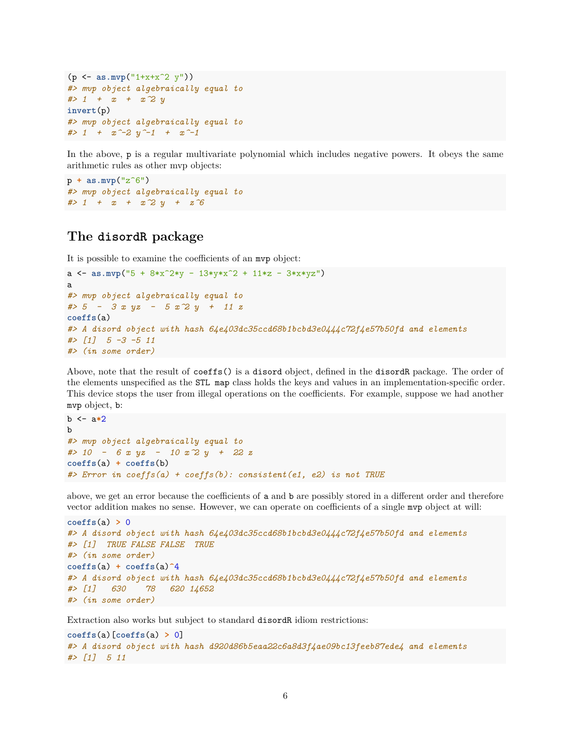```
(p <- as.mvp("1+x+x^2 y"))
#> mvp object algebraically equal to
#> 1 + x + x^2 y
invert(p)
#> mvp object algebraically equal to
# 1 + x^{\sim}-2 y^{\sim}-1 + x^{\sim}-1
```
In the above, p is a regular multivariate polynomial which includes negative powers. It obeys the same arithmetic rules as other mvp objects:

p **+ as.mvp**("z^6") *#> mvp object algebraically equal to #> 1 + x + x^2 y + z^6*

## **The disordR package**

It is possible to examine the coefficients of an mvp object:

```
a \leq as.mvp("5 + 8*x<sup>2</sup>*y - 13*y*x<sup>2</sup> + 11*z - 3*x*yz")
a
#> mvp object algebraically equal to
#> 5 - 3 x yz - 5 x^2 y + 11 z
coeffs(a)
#> A disord object with hash 64e403dc35ccd68b1bcbd3e0444c72f4e57b50fd and elements
#> [1] 5 -3 -5 11
#> (in some order)
```
Above, note that the result of coeffs() is a disord object, defined in the disordR package. The order of the elements unspecified as the STL map class holds the keys and values in an implementation-specific order. This device stops the user from illegal operations on the coefficients. For example, suppose we had another mvp object, b:

```
b <- a*2
b
#> mvp object algebraically equal to
#> 10 - 6 x yz - 10 x^2 y + 22 z
coeffs(a) + coeffs(b)
#> Error in coeffs(a) + coeffs(b): consistent(e1, e2) is not TRUE
```
above, we get an error because the coefficients of a and b are possibly stored in a different order and therefore vector addition makes no sense. However, we can operate on coefficients of a single mvp object at will:

```
coeffs(a) > 0
#> A disord object with hash 64e403dc35ccd68b1bcbd3e0444c72f4e57b50fd and elements
#> [1] TRUE FALSE FALSE TRUE
#> (in some order)
coeffs(a) + coeffs(a)^4
#> A disord object with hash 64e403dc35ccd68b1bcbd3e0444c72f4e57b50fd and elements
#> [1] 630 78 620 14652
#> (in some order)
```
Extraction also works but subject to standard disordR idiom restrictions:

```
coeffs(a)[coeffs(a) > 0]
#> A disord object with hash d920d86b5eaa22c6a8d3f4ae09bc13feeb87ede4 and elements
#> [1] 5 11
```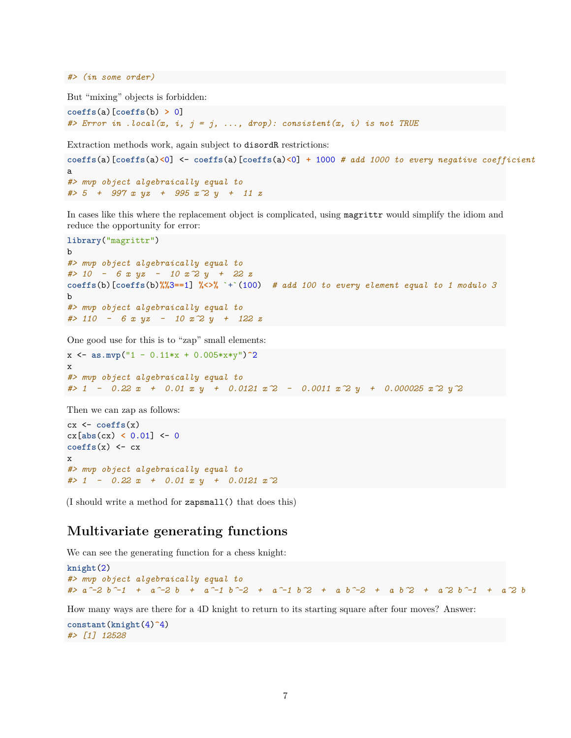*#> (in some order)*

But "mixing" objects is forbidden:

**coeffs**(a)[**coeffs**(b) **>** 0] *#> Error in .local(x, i, j = j, ..., drop): consistent(x, i) is not TRUE*

Extraction methods work, again subject to disordR restrictions:

**coeffs**(a)[**coeffs**(a)**<**0] <- **coeffs**(a)[**coeffs**(a)**<**0] **+** 1000 *# add 1000 to every negative coefficient* a *#> mvp object algebraically equal to #> 5 + 997 x yz + 995 x^2 y + 11 z*

In cases like this where the replacement object is complicated, using magrittr would simplify the idiom and reduce the opportunity for error:

```
library("magrittr")
b
#> mvp object algebraically equal to
#> 10 - 6 x yz - 10 x^2 y + 22 z
coeffs(b)[coeffs(b)<sup>\%</sup>3=1] \frac{1}{6} \lt\lt\frac{1}{6} <sup>*</sup> \lt\lt\leq 1 * add 100 to every element equal to 1 modulo 3
b
#> mvp object algebraically equal to
#> 110 - 6 x yz - 10 x^2 y + 122 z
```
One good use for this is to "zap" small elements:

x <- **as.mvp**("1 - 0.11\*x + 0.005\*x\*y")**^**2 x *#> mvp object algebraically equal to #> 1 - 0.22 x + 0.01 x y + 0.0121 x^2 - 0.0011 x^2 y + 0.000025 x^2 y^2*

Then we can zap as follows:

```
cx <- coeffs(x)
cx[abs(cx) < 0.01] <- 0
coeffs(x) \leftarrow cxx
#> mvp object algebraically equal to
#> 1 - 0.22 x + 0.01 x y + 0.0121 x^2
```
(I should write a method for zapsmall() that does this)

## **Multivariate generating functions**

We can see the generating function for a chess knight:

```
knight(2)
#> mvp object algebraically equal to
\# a^-2 b^-1 + a^-2 b + a^-1 b^-2 + a<sup>-</sup>-1 b^2 + a b^-2 + a b^2 + a^2 b^-1 + a^2 b
```
How many ways are there for a 4D knight to return to its starting square after four moves? Answer:

```
constant(knight(4)^4)
#> [1] 12528
```